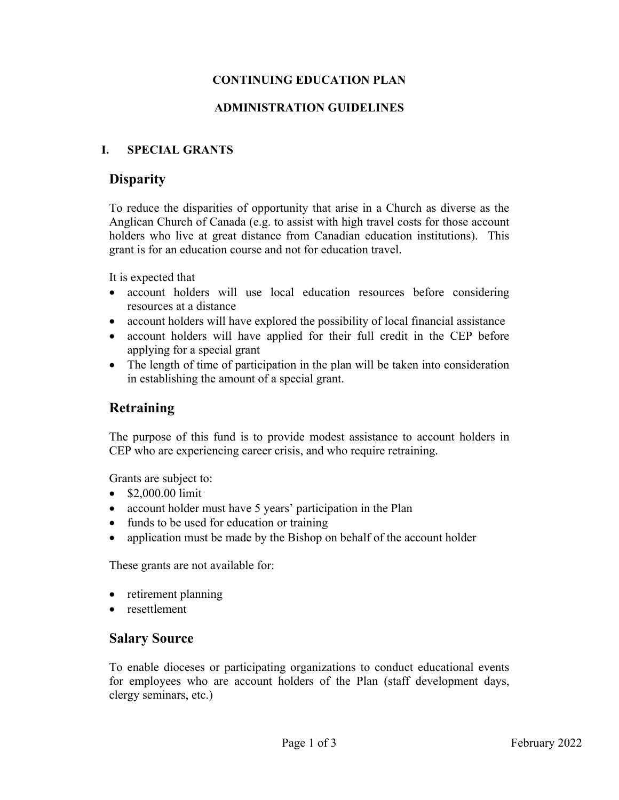# **CONTINUING EDUCATION PLAN**

### **ADMINISTRATION GUIDELINES**

### **I. SPECIAL GRANTS**

### **Disparity**

To reduce the disparities of opportunity that arise in a Church as diverse as the Anglican Church of Canada (e.g. to assist with high travel costs for those account holders who live at great distance from Canadian education institutions). This grant is for an education course and not for education travel.

It is expected that

- account holders will use local education resources before considering resources at a distance
- account holders will have explored the possibility of local financial assistance
- account holders will have applied for their full credit in the CEP before applying for a special grant
- The length of time of participation in the plan will be taken into consideration in establishing the amount of a special grant.

# **Retraining**

The purpose of this fund is to provide modest assistance to account holders in CEP who are experiencing career crisis, and who require retraining.

Grants are subject to:

- $\bullet$  \$2,000.00 limit
- account holder must have 5 years' participation in the Plan
- funds to be used for education or training
- application must be made by the Bishop on behalf of the account holder

These grants are not available for:

- retirement planning
- resettlement

### **Salary Source**

To enable dioceses or participating organizations to conduct educational events for employees who are account holders of the Plan (staff development days, clergy seminars, etc.)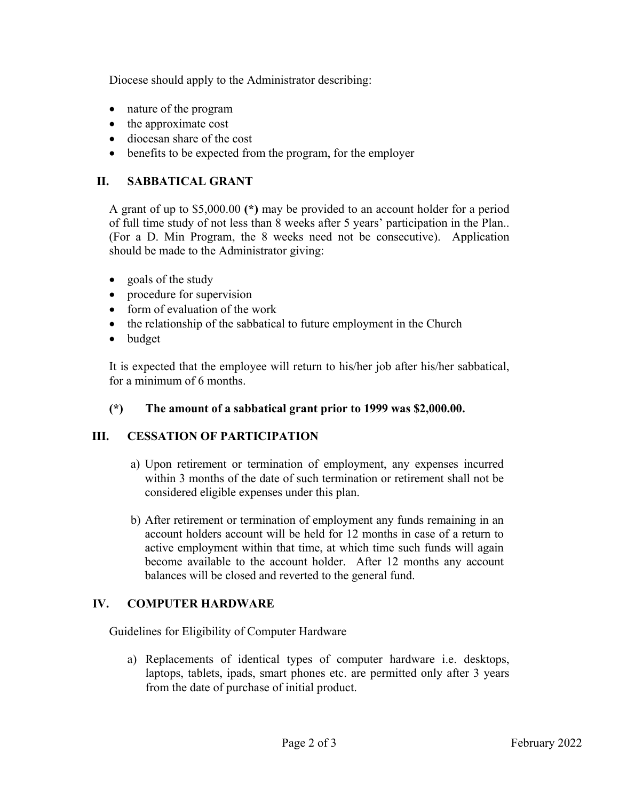Diocese should apply to the Administrator describing:

- nature of the program
- the approximate cost
- diocesan share of the cost
- benefits to be expected from the program, for the employer

## **II. SABBATICAL GRANT**

A grant of up to \$5,000.00 **(\*)** may be provided to an account holder for a period of full time study of not less than 8 weeks after 5 years' participation in the Plan.. (For a D. Min Program, the 8 weeks need not be consecutive). Application should be made to the Administrator giving:

- goals of the study
- procedure for supervision
- form of evaluation of the work
- the relationship of the sabbatical to future employment in the Church
- budget

It is expected that the employee will return to his/her job after his/her sabbatical, for a minimum of 6 months.

### **(\*) The amount of a sabbatical grant prior to 1999 was \$2,000.00.**

### **III. CESSATION OF PARTICIPATION**

- a) Upon retirement or termination of employment, any expenses incurred within 3 months of the date of such termination or retirement shall not be considered eligible expenses under this plan.
- b) After retirement or termination of employment any funds remaining in an account holders account will be held for 12 months in case of a return to active employment within that time, at which time such funds will again become available to the account holder. After 12 months any account balances will be closed and reverted to the general fund.

# **IV. COMPUTER HARDWARE**

Guidelines for Eligibility of Computer Hardware

a) Replacements of identical types of computer hardware i.e. desktops, laptops, tablets, ipads, smart phones etc. are permitted only after 3 years from the date of purchase of initial product.